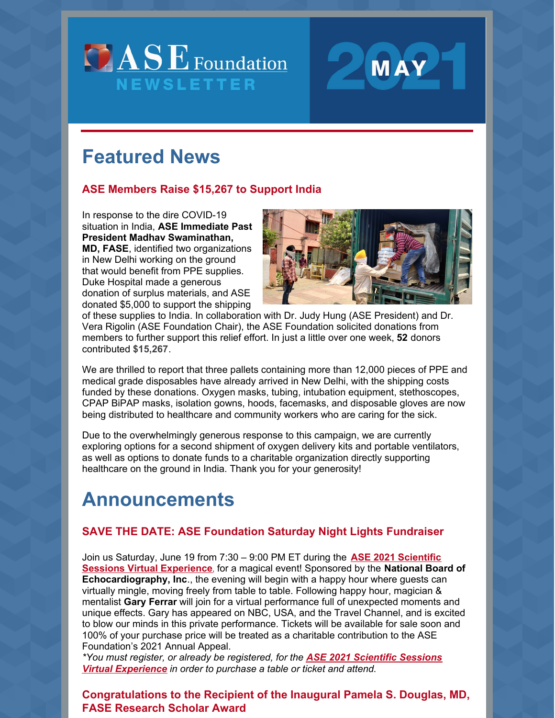



# **Featured News**

#### **ASE Members Raise \$15,267 to Support India**

In response to the dire COVID-19 situation in India, **ASE Immediate Past President Madhav Swaminathan, MD, FASE**, identified two organizations in New Delhi working on the ground that would benefit from PPE supplies. Duke Hospital made a generous donation of surplus materials, and ASE donated \$5,000 to support the shipping



of these supplies to India. In collaboration with Dr. Judy Hung (ASE President) and Dr. Vera Rigolin (ASE Foundation Chair), the ASE Foundation solicited donations from members to further support this relief effort. In just a little over one week, **52** donors contributed **\$15,267**.

We are thrilled to report that three pallets containing more than 12,000 pieces of PPE and medical grade disposables have already arrived in New Delhi, with the shipping costs funded by these donations. Oxygen masks, tubing, intubation equipment, stethoscopes, CPAP BiPAP masks, isolation gowns, hoods, facemasks, and disposable gloves are now being distributed to healthcare and community workers who are caring for the sick.

Due to the overwhelmingly generous response to this campaign, we are currently exploring options for a second shipment of oxygen delivery kits and portable ventilators, as well as options to donate funds to a charitable organization directly supporting healthcare on the ground in India. Thank you for your generosity!

## **Announcements**

#### **SAVE THE DATE: ASE Foundation Saturday Night Lights Fundraiser**

Join us Saturday, June 19 from 7:30 – 9:00 PM ET during the **ASE 2021 Scientific Sessions Virtual [Experience](https://www.asescientificsessions.org/)**, for a magical event! Sponsored by the **National Board of Echocardiography, Inc**., the evening will begin with a happy hour where guests can virtually mingle, moving freely from table to table. Following happy hour, magician & mentalist **Gary Ferrar** will join for a virtual performance full of unexpected moments and unique effects. Gary has appeared on NBC, USA, and the Travel Channel, and is excited to blow our minds in this private performance. Tickets will be available for sale soon and 100% of your purchase price will be treated as a charitable contribution to the ASE Foundation's 2021 Annual Appeal.

*\*You must register, or already be registered, for the ASE 2021 Scientific Sessions Virtual [Experience](https://www.asescientificsessions.org/) in order to purchase a table or ticket and attend.*

## **Congratulations to the Recipient of the Inaugural Pamela S. Douglas, MD, FASE Research Scholar Award**